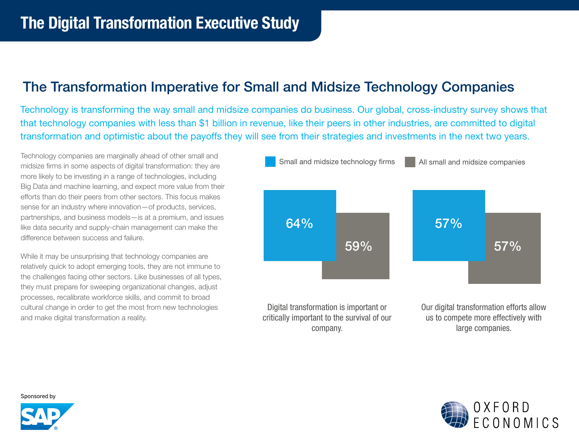# The Transformation Imperative for Small and Midsize Technology Companies

Technology is transforming the way small and midsize companies do business. Our global, cross-industry survey shows that that technology companies with less than \$1 billion in revenue, like their peers in other industries, are committed to digital transformation and optimistic about the payoffs they will see from their strategies and investments in the next two years.

Technology companies are marginally ahead of other small and midsize firms in some aspects of digital transformation: they are more likely to be investing in a range of technologies, including Big Data and machine learning, and expect more value from their efforts than do their peers from other sectors. This focus makes sense for an industry where innovation—of products, services, partnerships, and business models—is at a premium, and issues like data security and supply-chain management can make the difference between success and failure.

While it may be unsurprising that technology companies are relatively quick to adopt emerging tools, they are not immune to the challenges facing other sectors. Like businesses of all types, they must prepare for sweeping organizational changes, adjust processes, recalibrate workforce skills, and commit to broad cultural change in order to get the most from new technologies and make digital transformation a reality.





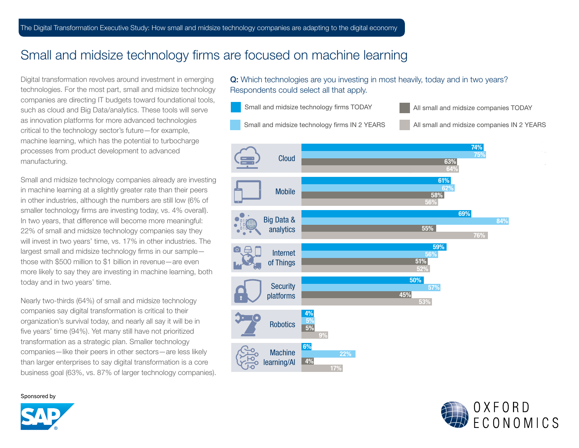### Small and midsize technology firms are focused on machine learning

Digital transformation revolves around investment in emerging technologies. For the most part, small and midsize technology companies are directing IT budgets toward foundational tools, such as cloud and Big Data/analytics. These tools will serve as innovation platforms for more advanced technologies critical to the technology sector's future—for example, machine learning, which has the potential to turbocharge processes from product development to advanced manufacturing.

Small and midsize technology companies already are investing in machine learning at a slightly greater rate than their peers in other industries, although the numbers are still low (6% of smaller technology firms are investing today, vs. 4% overall). In two years, that difference will become more meaningful: 22% of small and midsize technology companies say they will invest in two years' time, vs. 17% in other industries. The largest small and midsize technology firms in our sample those with \$500 million to \$1 billion in revenue—are even more likely to say they are investing in machine learning, both today and in two years' time.

Nearly two-thirds (64%) of small and midsize technology companies say digital transformation is critical to their organization's survival today, and nearly all say it will be in five years' time (94%). Yet many still have not prioritized transformation as a strategic plan. Smaller technology companies—like their peers in other sectors—are less likely than larger enterprises to say digital transformation is a core business goal (63%, vs. 87% of larger technology companies).

#### Q: Which technologies are you investing in most heavily, today and in two years? Respondents could select all that apply.





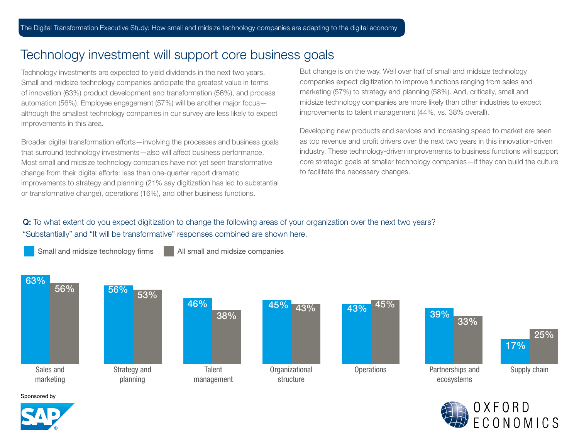# Technology investment will support core business goals

Technology investments are expected to yield dividends in the next two years. Small and midsize technology companies anticipate the greatest value in terms of innovation (63%) product development and transformation (56%), and process automation (56%). Employee engagement (57%) will be another major focus although the smallest technology companies in our survey are less likely to expect improvements in this area.

Broader digital transformation efforts—involving the processes and business goals that surround technology investments—also will affect business performance. Most small and midsize technology companies have not yet seen transformative change from their digital efforts: less than one-quarter report dramatic improvements to strategy and planning (21% say digitization has led to substantial or transformative change), operations (16%), and other business functions.

Small and midsize technology firms All small and midsize companies

But change is on the way. Well over half of small and midsize technology companies expect digitization to improve functions ranging from sales and marketing (57%) to strategy and planning (58%). And, critically, small and midsize technology companies are more likely than other industries to expect improvements to talent management (44%, vs. 38% overall).

Developing new products and services and increasing speed to market are seen as top revenue and profit drivers over the next two years in this innovation-driven industry. These technology-driven improvements to business functions will support core strategic goals at smaller technology companies—if they can build the culture to facilitate the necessary changes.

#### Q: To what extent do you expect digitization to change the following areas of your organization over the next two years? "Substantially" and "It will be transformative" responses combined are shown here.

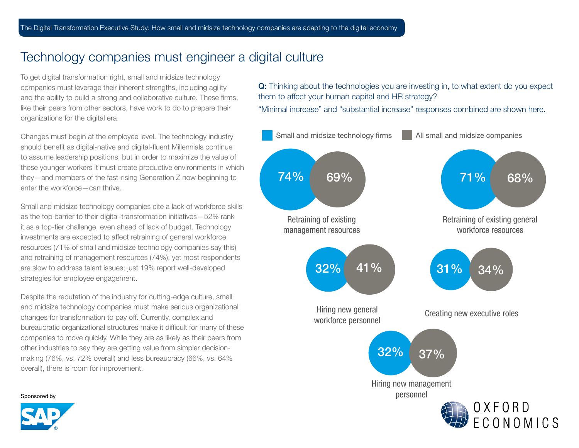#### Technology companies must engineer a digital culture

To get digital transformation right, small and midsize technology companies must leverage their inherent strengths, including agility and the ability to build a strong and collaborative culture. These firms, like their peers from other sectors, have work to do to prepare their organizations for the digital era.

Changes must begin at the employee level. The technology industry should benefit as digital-native and digital-fluent Millennials continue to assume leadership positions, but in order to maximize the value of these younger workers it must create productive environments in which they—and members of the fast-rising Generation Z now beginning to enter the workforce—can thrive.

Small and midsize technology companies cite a lack of workforce skills as the top barrier to their digital-transformation initiatives—52% rank it as a top-tier challenge, even ahead of lack of budget. Technology investments are expected to affect retraining of general workforce resources (71% of small and midsize technology companies say this) and retraining of management resources (74%), yet most respondents are slow to address talent issues; just 19% report well-developed strategies for employee engagement.

Despite the reputation of the industry for cutting-edge culture, small and midsize technology companies must make serious organizational changes for transformation to pay off. Currently, complex and bureaucratic organizational structures make it difficult for many of these companies to move quickly. While they are as likely as their peers from other industries to say they are getting value from simpler decisionmaking (76%, vs. 72% overall) and less bureaucracy (66%, vs. 64% overall), there is room for improvement.

Q: Thinking about the technologies you are investing in, to what extent do you expect them to affect your human capital and HR strategy?

"Minimal increase" and "substantial increase" responses combined are shown here.